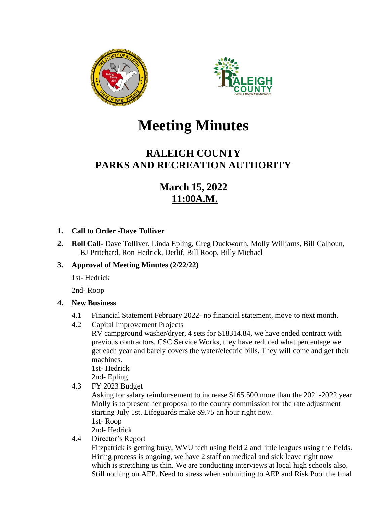



# **Meeting Minutes**

# **RALEIGH COUNTY PARKS AND RECREATION AUTHORITY**

# **March 15, 2022 11:00A.M.**

### **1. Call to Order -Dave Tolliver**

**2. Roll Call-** Dave Tolliver, Linda Epling, Greg Duckworth, Molly Williams, Bill Calhoun, BJ Pritchard, Ron Hedrick, Detlif, Bill Roop, Billy Michael

## **3. Approval of Meeting Minutes (2/22/22)**

1st- Hedrick

2nd- Roop

## **4. New Business**

- 4.1 Financial Statement February 2022- no financial statement, move to next month.
- 4.2 Capital Improvement Projects

RV campground washer/dryer, 4 sets for \$18314.84, we have ended contract with previous contractors, CSC Service Works, they have reduced what percentage we get each year and barely covers the water/electric bills. They will come and get their machines.

1st- Hedrick

- 2nd- Epling
- 4.3 FY 2023 Budget

Asking for salary reimbursement to increase \$165.500 more than the 2021-2022 year Molly is to present her proposal to the county commission for the rate adjustment starting July 1st. Lifeguards make \$9.75 an hour right now. 1st- Roop

2nd- Hedrick

4.4 Director's Report

Fitzpatrick is getting busy, WVU tech using field 2 and little leagues using the fields. Hiring process is ongoing, we have 2 staff on medical and sick leave right now which is stretching us thin. We are conducting interviews at local high schools also. Still nothing on AEP. Need to stress when submitting to AEP and Risk Pool the final